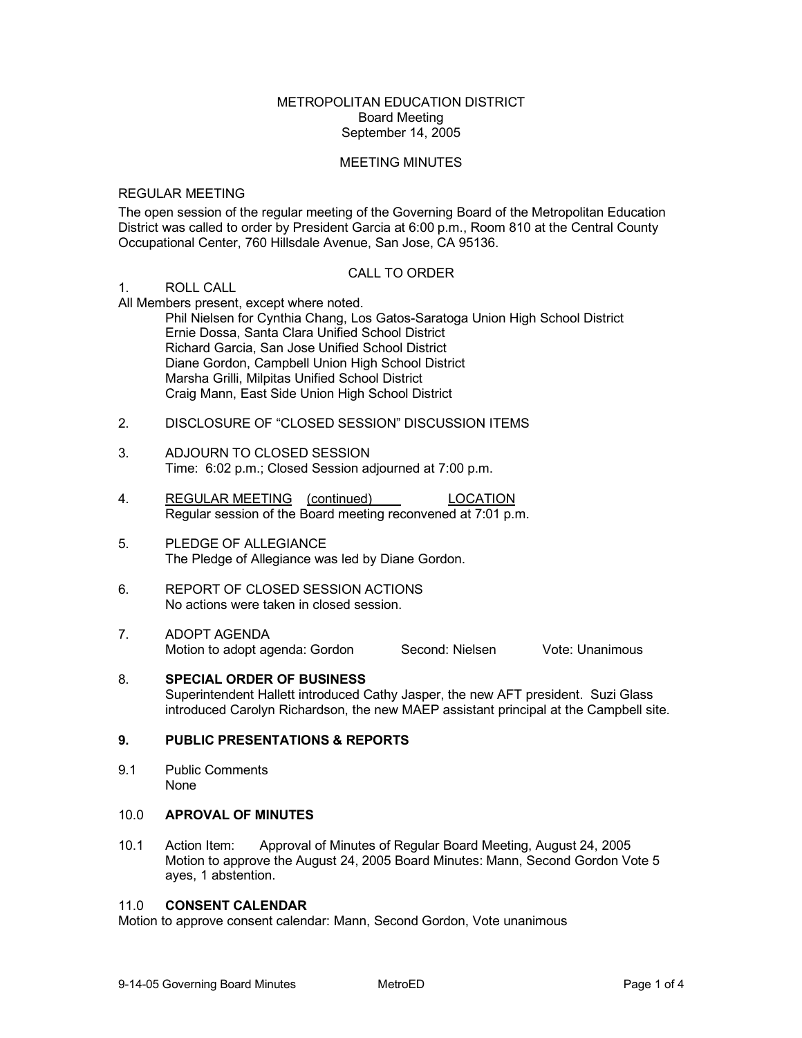## METROPOLITAN EDUCATION DISTRICT Board Meeting September 14, 2005

### MEETING MINUTES

### REGULAR MEETING

The open session of the regular meeting of the Governing Board of the Metropolitan Education District was called to order by President Garcia at 6:00 p.m., Room 810 at the Central County Occupational Center, 760 Hillsdale Avenue, San Jose, CA 95136.

### CALL TO ORDER

#### 1. ROLL CALL

All Members present, except where noted.

Phil Nielsen for Cynthia Chang, Los Gatos-Saratoga Union High School District Ernie Dossa, Santa Clara Unified School District Richard Garcia, San Jose Unified School District Diane Gordon, Campbell Union High School District Marsha Grilli, Milpitas Unified School District Craig Mann, East Side Union High School District

- 2. DISCLOSURE OF "CLOSED SESSION" DISCUSSION ITEMS
- 3. ADJOURN TO CLOSED SESSION Time: 6:02 p.m.; Closed Session adjourned at 7:00 p.m.
- 4. REGULAR MEETING (continued) LOCATION Regular session of the Board meeting reconvened at 7:01 p.m.
- 5. PLEDGE OF ALLEGIANCE The Pledge of Allegiance was led by Diane Gordon.
- 6. REPORT OF CLOSED SESSION ACTIONS No actions were taken in closed session.
- 7. ADOPT AGENDA<br>Motion to adopt agenda: Gordon Second: Nielsen Vote: Unanimous Motion to adopt agenda: Gordon
- 8. **SPECIAL ORDER OF BUSINESS** Superintendent Hallett introduced Cathy Jasper, the new AFT president. Suzi Glass introduced Carolyn Richardson, the new MAEP assistant principal at the Campbell site.

### **9. PUBLIC PRESENTATIONS & REPORTS**

9.1 Public Comments None

# 10.0 **APROVAL OF MINUTES**

10.1 Action Item: Approval of Minutes of Regular Board Meeting, August 24, 2005 Motion to approve the August 24, 2005 Board Minutes: Mann, Second Gordon Vote 5 ayes, 1 abstention.

#### 11.0 **CONSENT CALENDAR**

Motion to approve consent calendar: Mann, Second Gordon, Vote unanimous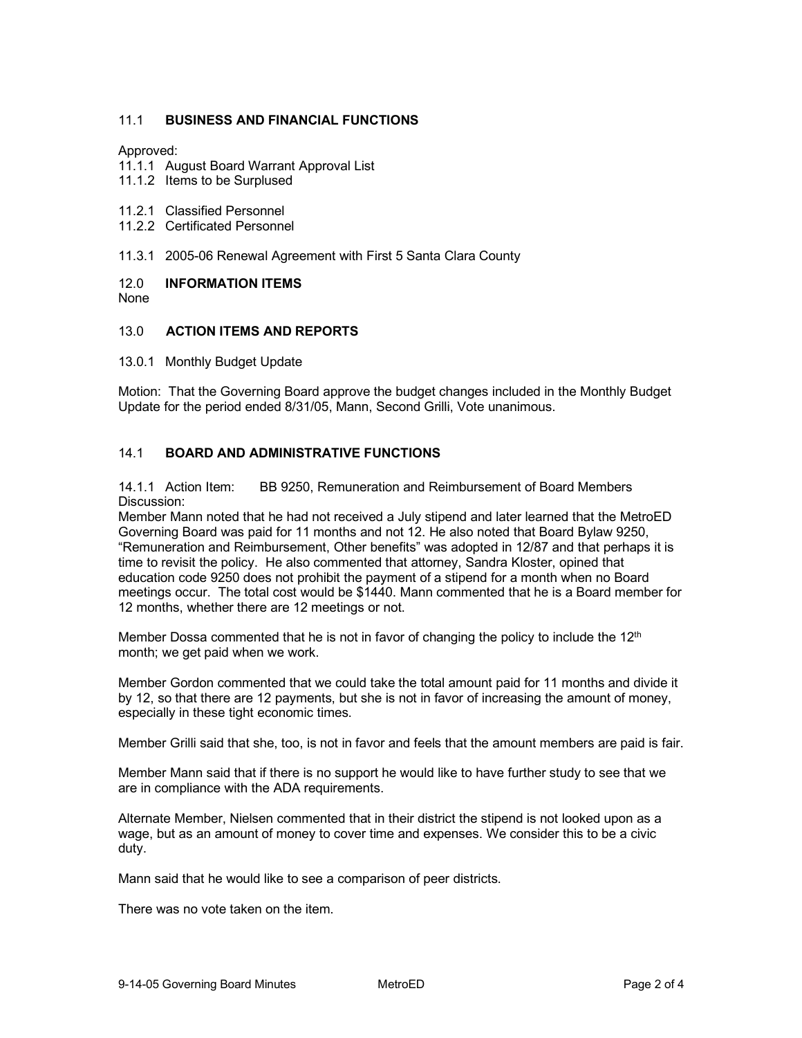# 11.1 **BUSINESS AND FINANCIAL FUNCTIONS**

### Approved:

- 11.1.1 August Board Warrant Approval List
- 11.1.2 Items to be Surplused
- 11.2.1 Classified Personnel
- 11.2.2 Certificated Personnel
- 11.3.1 2005-06 Renewal Agreement with First 5 Santa Clara County

#### 12.0 **INFORMATION ITEMS** None

# 13.0 **ACTION ITEMS AND REPORTS**

#### 13.0.1 Monthly Budget Update

Motion: That the Governing Board approve the budget changes included in the Monthly Budget Update for the period ended 8/31/05, Mann, Second Grilli, Vote unanimous.

## 14.1 **BOARD AND ADMINISTRATIVE FUNCTIONS**

14.1.1 Action Item: BB 9250, Remuneration and Reimbursement of Board Members Discussion:

Member Mann noted that he had not received a July stipend and later learned that the MetroED Governing Board was paid for 11 months and not 12. He also noted that Board Bylaw 9250, "Remuneration and Reimbursement, Other benefits" was adopted in 12/87 and that perhaps it is time to revisit the policy. He also commented that attorney, Sandra Kloster, opined that education code 9250 does not prohibit the payment of a stipend for a month when no Board meetings occur. The total cost would be \$1440. Mann commented that he is a Board member for 12 months, whether there are 12 meetings or not.

Member Dossa commented that he is not in favor of changing the policy to include the 12<sup>th</sup> month; we get paid when we work.

Member Gordon commented that we could take the total amount paid for 11 months and divide it by 12, so that there are 12 payments, but she is not in favor of increasing the amount of money, especially in these tight economic times.

Member Grilli said that she, too, is not in favor and feels that the amount members are paid is fair.

Member Mann said that if there is no support he would like to have further study to see that we are in compliance with the ADA requirements.

Alternate Member, Nielsen commented that in their district the stipend is not looked upon as a wage, but as an amount of money to cover time and expenses. We consider this to be a civic duty.

Mann said that he would like to see a comparison of peer districts.

There was no vote taken on the item.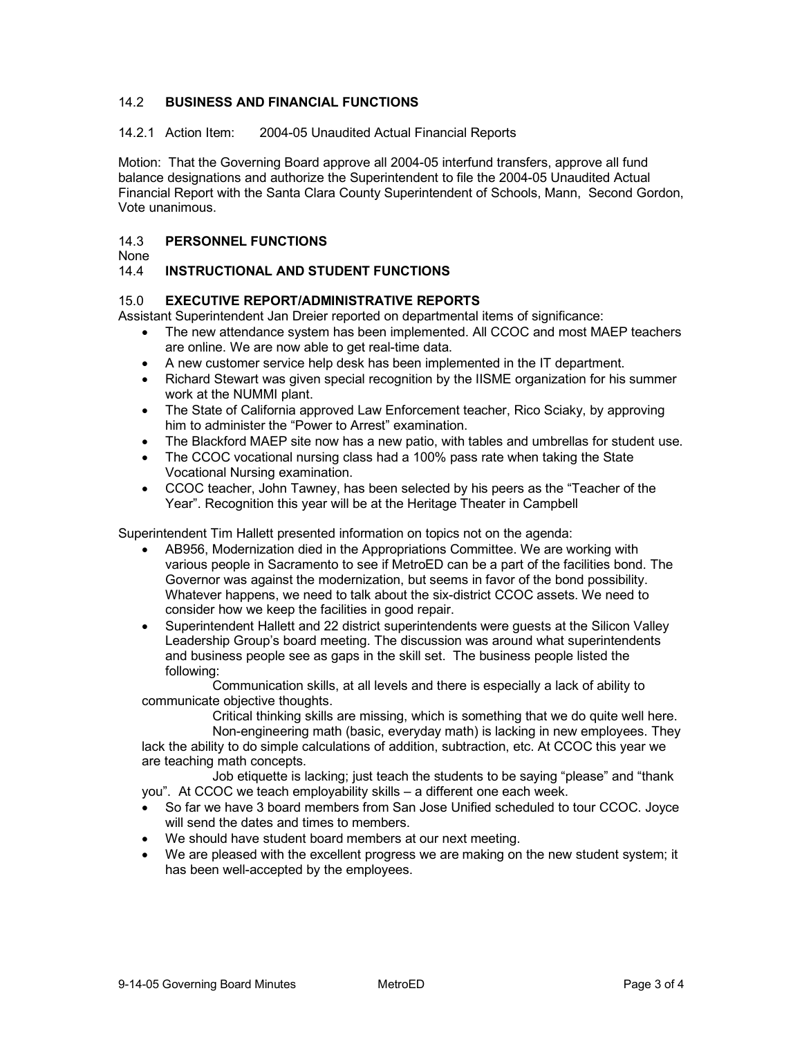# 14.2 **BUSINESS AND FINANCIAL FUNCTIONS**

14.2.1 Action Item: 2004-05 Unaudited Actual Financial Reports

Motion: That the Governing Board approve all 2004-05 interfund transfers, approve all fund balance designations and authorize the Superintendent to file the 2004-05 Unaudited Actual Financial Report with the Santa Clara County Superintendent of Schools, Mann, Second Gordon, Vote unanimous.

# 14.3 **PERSONNEL FUNCTIONS**

None

# 14.4 **INSTRUCTIONAL AND STUDENT FUNCTIONS**

# 15.0 **EXECUTIVE REPORT/ADMINISTRATIVE REPORTS**

Assistant Superintendent Jan Dreier reported on departmental items of significance:

- The new attendance system has been implemented. All CCOC and most MAEP teachers are online. We are now able to get real-time data.
- A new customer service help desk has been implemented in the IT department.
- Richard Stewart was given special recognition by the IISME organization for his summer work at the NUMMI plant.
- The State of California approved Law Enforcement teacher, Rico Sciaky, by approving him to administer the "Power to Arrest" examination.
- The Blackford MAEP site now has a new patio, with tables and umbrellas for student use.
- The CCOC vocational nursing class had a 100% pass rate when taking the State Vocational Nursing examination.
- CCOC teacher, John Tawney, has been selected by his peers as the "Teacher of the Year". Recognition this year will be at the Heritage Theater in Campbell

Superintendent Tim Hallett presented information on topics not on the agenda:

- AB956, Modernization died in the Appropriations Committee. We are working with various people in Sacramento to see if MetroED can be a part of the facilities bond. The Governor was against the modernization, but seems in favor of the bond possibility. Whatever happens, we need to talk about the six-district CCOC assets. We need to consider how we keep the facilities in good repair.
- Superintendent Hallett and 22 district superintendents were guests at the Silicon Valley Leadership Group's board meeting. The discussion was around what superintendents and business people see as gaps in the skill set. The business people listed the following:

Communication skills, at all levels and there is especially a lack of ability to communicate objective thoughts.

Critical thinking skills are missing, which is something that we do quite well here.

Non-engineering math (basic, everyday math) is lacking in new employees. They lack the ability to do simple calculations of addition, subtraction, etc. At CCOC this year we are teaching math concepts.

Job etiquette is lacking; just teach the students to be saying "please" and "thank you". At CCOC we teach employability skills – a different one each week.

- So far we have 3 board members from San Jose Unified scheduled to tour CCOC. Joyce will send the dates and times to members.
- We should have student board members at our next meeting.
- We are pleased with the excellent progress we are making on the new student system; it has been well-accepted by the employees.